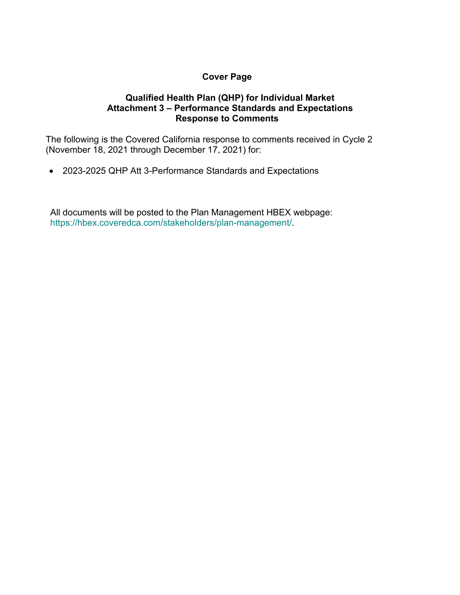# **Cover Page**

## **Qualified Health Plan (QHP) for Individual Market Attachment 3 – Performance Standards and Expectations Response to Comments**

The following is the Covered California response to comments received in Cycle 2 (November 18, 2021 through December 17, 2021) for:

• 2023-2025 QHP Att 3-Performance Standards and Expectations

All documents will be posted to the Plan Management HBEX webpage: https://hbex.coveredca.com/stakeholders/plan-management/.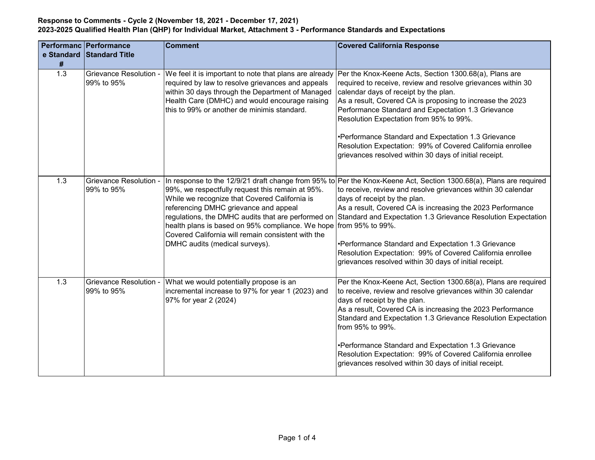|            | <b>Performanc Performance</b>               | Comment                                                                                                                                                                                                                                                                                                 | <b>Covered California Response</b>                                                                                                                                                                                                                                                                                                                                                                                                                                                                                                                                                     |
|------------|---------------------------------------------|---------------------------------------------------------------------------------------------------------------------------------------------------------------------------------------------------------------------------------------------------------------------------------------------------------|----------------------------------------------------------------------------------------------------------------------------------------------------------------------------------------------------------------------------------------------------------------------------------------------------------------------------------------------------------------------------------------------------------------------------------------------------------------------------------------------------------------------------------------------------------------------------------------|
| e Standard | <b>Standard Title</b>                       |                                                                                                                                                                                                                                                                                                         |                                                                                                                                                                                                                                                                                                                                                                                                                                                                                                                                                                                        |
| #<br>1.3   | <b>Grievance Resolution -</b><br>99% to 95% | We feel it is important to note that plans are already<br>required by law to resolve grievances and appeals<br>within 30 days through the Department of Managed<br>Health Care (DMHC) and would encourage raising<br>this to 99% or another de minimis standard.                                        | Per the Knox-Keene Acts, Section 1300.68(a), Plans are<br>required to receive, review and resolve grievances within 30<br>calendar days of receipt by the plan.<br>As a result, Covered CA is proposing to increase the 2023<br>Performance Standard and Expectation 1.3 Grievance<br>Resolution Expectation from 95% to 99%.<br>•Performance Standard and Expectation 1.3 Grievance<br>Resolution Expectation: 99% of Covered California enrollee<br>grievances resolved within 30 days of initial receipt.                                                                           |
| 1.3        | <b>Grievance Resolution -</b><br>99% to 95% | 99%, we respectfully request this remain at 95%.<br>While we recognize that Covered California is<br>referencing DMHC grievance and appeal<br>health plans is based on 95% compliance. We hope from 95% to 99%.<br>Covered California will remain consistent with the<br>DMHC audits (medical surveys). | In response to the 12/9/21 draft change from 95% to $ Per$ the Knox-Keene Act, Section 1300.68(a), Plans are required<br>to receive, review and resolve grievances within 30 calendar<br>days of receipt by the plan.<br>As a result, Covered CA is increasing the 2023 Performance<br>regulations, the DMHC audits that are performed on Standard and Expectation 1.3 Grievance Resolution Expectation<br>•Performance Standard and Expectation 1.3 Grievance<br>Resolution Expectation: 99% of Covered California enrollee<br>grievances resolved within 30 days of initial receipt. |
| 1.3        | <b>Grievance Resolution -</b><br>99% to 95% | What we would potentially propose is an<br>incremental increase to 97% for year 1 (2023) and<br>97% for year 2 (2024)                                                                                                                                                                                   | Per the Knox-Keene Act, Section 1300.68(a), Plans are required<br>to receive, review and resolve grievances within 30 calendar<br>days of receipt by the plan.<br>As a result, Covered CA is increasing the 2023 Performance<br>Standard and Expectation 1.3 Grievance Resolution Expectation<br>from 95% to 99%.<br>•Performance Standard and Expectation 1.3 Grievance<br>Resolution Expectation: 99% of Covered California enrollee<br>grievances resolved within 30 days of initial receipt.                                                                                       |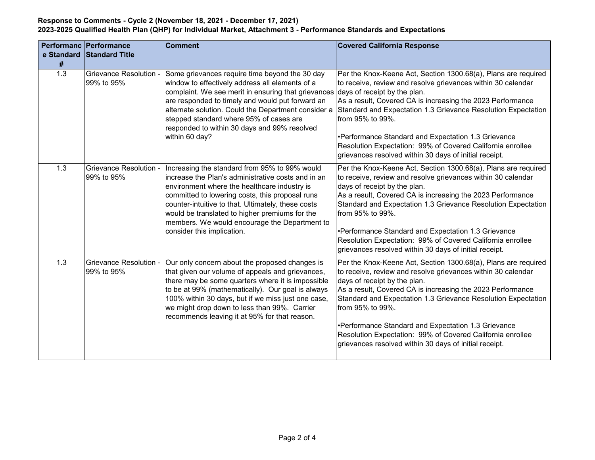|                  | Performanc   Performance                    | <b>Comment</b>                                                                                                                                                                                                                                                                                                                                                                                | <b>Covered California Response</b>                                                                                                                                                                                                                                                                                                                                                                                                                                                               |
|------------------|---------------------------------------------|-----------------------------------------------------------------------------------------------------------------------------------------------------------------------------------------------------------------------------------------------------------------------------------------------------------------------------------------------------------------------------------------------|--------------------------------------------------------------------------------------------------------------------------------------------------------------------------------------------------------------------------------------------------------------------------------------------------------------------------------------------------------------------------------------------------------------------------------------------------------------------------------------------------|
| #                | e Standard Standard Title                   |                                                                                                                                                                                                                                                                                                                                                                                               |                                                                                                                                                                                                                                                                                                                                                                                                                                                                                                  |
| 1.3              | <b>Grievance Resolution -</b><br>99% to 95% | Some grievances require time beyond the 30 day<br>window to effectively address all elements of a<br>complaint. We see merit in ensuring that grievances<br>are responded to timely and would put forward an<br>alternate solution. Could the Department consider a<br>stepped standard where 95% of cases are<br>responded to within 30 days and 99% resolved<br>within 60 day?              | Per the Knox-Keene Act, Section 1300.68(a), Plans are required<br>to receive, review and resolve grievances within 30 calendar<br>days of receipt by the plan.<br>As a result, Covered CA is increasing the 2023 Performance<br>Standard and Expectation 1.3 Grievance Resolution Expectation<br>from 95% to 99%.<br>•Performance Standard and Expectation 1.3 Grievance<br>Resolution Expectation: 99% of Covered California enrollee<br>grievances resolved within 30 days of initial receipt. |
| 1.3              | <b>Grievance Resolution -</b><br>99% to 95% | Increasing the standard from 95% to 99% would<br>increase the Plan's administrative costs and in an<br>environment where the healthcare industry is<br>committed to lowering costs, this proposal runs<br>counter-intuitive to that. Ultimately, these costs<br>would be translated to higher premiums for the<br>members. We would encourage the Department to<br>consider this implication. | Per the Knox-Keene Act, Section 1300.68(a), Plans are required<br>to receive, review and resolve grievances within 30 calendar<br>days of receipt by the plan.<br>As a result, Covered CA is increasing the 2023 Performance<br>Standard and Expectation 1.3 Grievance Resolution Expectation<br>from 95% to 99%.<br>•Performance Standard and Expectation 1.3 Grievance<br>Resolution Expectation: 99% of Covered California enrollee<br>grievances resolved within 30 days of initial receipt. |
| $\overline{1.3}$ | Grievance Resolution -<br>99% to 95%        | Our only concern about the proposed changes is<br>that given our volume of appeals and grievances,<br>there may be some quarters where it is impossible<br>to be at 99% (mathematically). Our goal is always<br>100% within 30 days, but if we miss just one case,<br>we might drop down to less than 99%. Carrier<br>recommends leaving it at 95% for that reason.                           | Per the Knox-Keene Act, Section 1300.68(a), Plans are required<br>to receive, review and resolve grievances within 30 calendar<br>days of receipt by the plan.<br>As a result, Covered CA is increasing the 2023 Performance<br>Standard and Expectation 1.3 Grievance Resolution Expectation<br>from 95% to 99%.<br>•Performance Standard and Expectation 1.3 Grievance<br>Resolution Expectation: 99% of Covered California enrollee<br>grievances resolved within 30 days of initial receipt. |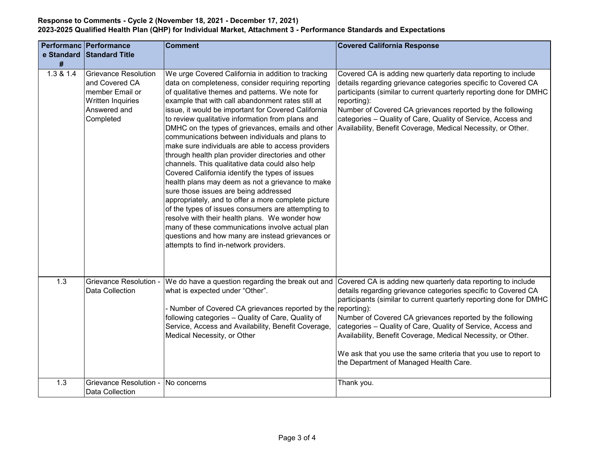| e Standard | <b>Performanc Performance</b><br>Standard Title                                                                           | <b>Comment</b>                                                                                                                                                                                                                                                                                                                                                                                                                                                                                                                                                                                                                                                                                                                                                                                                                                                                                                                                                                                                                                                      | <b>Covered California Response</b>                                                                                                                                                                                                                                                                                                                                                                                                                                                                            |
|------------|---------------------------------------------------------------------------------------------------------------------------|---------------------------------------------------------------------------------------------------------------------------------------------------------------------------------------------------------------------------------------------------------------------------------------------------------------------------------------------------------------------------------------------------------------------------------------------------------------------------------------------------------------------------------------------------------------------------------------------------------------------------------------------------------------------------------------------------------------------------------------------------------------------------------------------------------------------------------------------------------------------------------------------------------------------------------------------------------------------------------------------------------------------------------------------------------------------|---------------------------------------------------------------------------------------------------------------------------------------------------------------------------------------------------------------------------------------------------------------------------------------------------------------------------------------------------------------------------------------------------------------------------------------------------------------------------------------------------------------|
| #          |                                                                                                                           |                                                                                                                                                                                                                                                                                                                                                                                                                                                                                                                                                                                                                                                                                                                                                                                                                                                                                                                                                                                                                                                                     |                                                                                                                                                                                                                                                                                                                                                                                                                                                                                                               |
| 1.3 & 1.4  | <b>Grievance Resolution</b><br>and Covered CA<br>member Email or<br><b>Written Inquiries</b><br>Answered and<br>Completed | We urge Covered California in addition to tracking<br>data on completeness, consider requiring reporting<br>of qualitative themes and patterns. We note for<br>example that with call abandonment rates still at<br>issue, it would be important for Covered California<br>to review qualitative information from plans and<br>DMHC on the types of grievances, emails and other<br>communications between individuals and plans to<br>make sure individuals are able to access providers<br>through health plan provider directories and other<br>channels. This qualitative data could also help<br>Covered California identify the types of issues<br>health plans may deem as not a grievance to make<br>sure those issues are being addressed<br>appropriately, and to offer a more complete picture<br>of the types of issues consumers are attempting to<br>resolve with their health plans. We wonder how<br>many of these communications involve actual plan<br>questions and how many are instead grievances or<br>attempts to find in-network providers. | Covered CA is adding new quarterly data reporting to include<br>details regarding grievance categories specific to Covered CA<br>participants (similar to current quarterly reporting done for DMHC<br>reporting):<br>Number of Covered CA grievances reported by the following<br>categories - Quality of Care, Quality of Service, Access and<br>Availability, Benefit Coverage, Medical Necessity, or Other.                                                                                               |
| 1.3        | Grievance Resolution -<br><b>Data Collection</b>                                                                          | We do have a question regarding the break out and<br>what is expected under "Other".<br>Number of Covered CA grievances reported by the reporting):<br>following categories - Quality of Care, Quality of<br>Service, Access and Availability, Benefit Coverage,<br>Medical Necessity, or Other                                                                                                                                                                                                                                                                                                                                                                                                                                                                                                                                                                                                                                                                                                                                                                     | Covered CA is adding new quarterly data reporting to include<br>details regarding grievance categories specific to Covered CA<br>participants (similar to current quarterly reporting done for DMHC<br>Number of Covered CA grievances reported by the following<br>categories - Quality of Care, Quality of Service, Access and<br>Availability, Benefit Coverage, Medical Necessity, or Other.<br>We ask that you use the same criteria that you use to report to<br>the Department of Managed Health Care. |
| 1.3        | <b>Grievance Resolution -</b><br>Data Collection                                                                          | No concerns                                                                                                                                                                                                                                                                                                                                                                                                                                                                                                                                                                                                                                                                                                                                                                                                                                                                                                                                                                                                                                                         | Thank you.                                                                                                                                                                                                                                                                                                                                                                                                                                                                                                    |